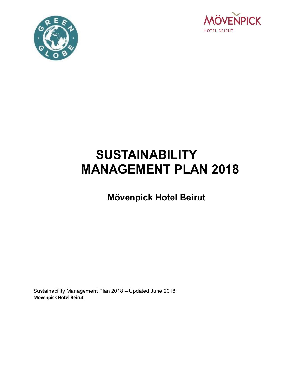



# **SUSTAINABILITY MANAGEMENT PLAN 2018**

# **Mövenpick Hotel Beirut**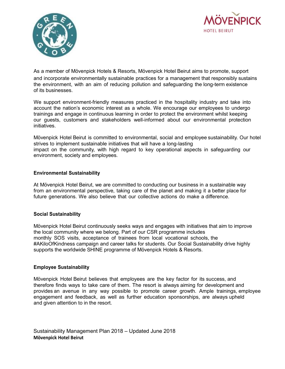![](_page_1_Picture_0.jpeg)

![](_page_1_Picture_1.jpeg)

As a member of Mövenpick Hotels & Resorts, Mövenpick Hotel Beirut aims to promote, support and incorporate environmentally sustainable practices for a management that responsibly sustains the environment, with an aim of reducing pollution and safeguarding the long-term existence of its businesses.

We support environment-friendly measures practiced in the hospitality industry and take into account the nation's economic interest as a whole. We encourage our employees to undergo trainings and engage in continuous learning in order to protect the environment whilst keeping our guests, customers and stakeholders well-informed about our environmental protection initiatives.

Mövenpick Hotel Beirut is committed to environmental, social and employee sustainability. Our hotel strives to implement sustainable initiatives that will have a long-lasting impact on the community, with high regard to key operational aspects in safeguarding our environment, society and employees.

#### **Environmental Sustainability**

At Mövenpick Hotel Beirut, we are committed to conducting our business in a sustainable way from an environmental perspective, taking care of the planet and making it a better place for future generations. We also believe that our collective actions do make a difference.

#### **Social Sustainability**

Mövenpick Hotel Beirut continuously seeks ways and engages with initiatives that aim to improve the local community where we belong. Part of our CSR programme includes monthly SOS visits, acceptance of trainees from local vocational schools, the #AKiloOfKindness campaign and career talks for students. Our Social Sustainability drive highly supports the worldwide SHINE programme of Mövenpick Hotels & Resorts.

#### **Employee Sustainability**

Mövenpick Hotel Beirut believes that employees are the key factor for its success, and therefore finds ways to take care of them. The resort is always aiming for development and provides an avenue in any way possible to promote career growth. Ample trainings, employee engagement and feedback, as well as further education sponsorships, are always upheld and given attention to in the resort.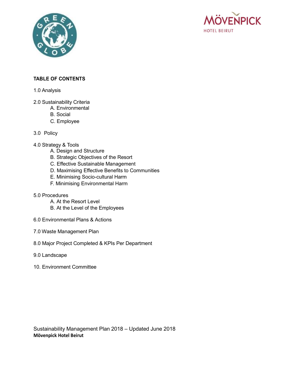![](_page_2_Picture_0.jpeg)

![](_page_2_Picture_1.jpeg)

# **TABLE OF CONTENTS**

#### 1.0 Analysis

- 2.0 Sustainability Criteria
	- A. Environmental
	- B. Social
	- C. Employee

# 3.0 Policy

#### 4.0 Strategy & Tools

- A. Design and Structure
- B. Strategic Objectives of the Resort
- C. Effective Sustainable Management
- D. Maximising Effective Benefits to Communities
- E. Minimising Socio-cultural Harm
- F. Minimising Environmental Harm

#### 5.0 Procedures

- A. At the Resort Level
- B. At the Level of the Employees
- 6.0 Environmental Plans & Actions
- 7.0 Waste Management Plan
- 8.0 Major Project Completed & KPIs Per Department
- 9.0 Landscape
- 10. Environment Committee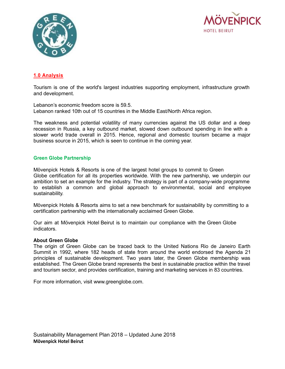![](_page_3_Picture_0.jpeg)

![](_page_3_Picture_1.jpeg)

# **1.0 Analysis**

Tourism is one of the world's largest industries supporting employment, infrastructure growth and development.

Lebanon's economic freedom score is 59.5. Lebanon ranked 10th out of 15 countries in the Middle East/North Africa region.

The weakness and potential volatility of many currencies against the US dollar and a deep recession in Russia, a key outbound market, slowed down outbound spending in line with a slower world trade overall in 2015. Hence, regional and domestic tourism became a major business source in 2015, which is seen to continue in the coming year.

#### **Green Globe Partnership**

Mövenpick Hotels & Resorts is one of the largest hotel groups to commit to Green Globe certification for all its properties worldwide. With the new partnership, we underpin our ambition to set an example for the industry. The strategy is part of a company-wide programme to establish a common and global approach to environmental, social and employee sustainability.

Mövenpick Hotels & Resorts aims to set a new benchmark for sustainability by committing to a certification partnership with the internationally acclaimed Green Globe.

Our aim at Mövenpick Hotel Beirut is to maintain our compliance with the Green Globe indicators.

#### **About Green Globe**

The origin of Green Globe can be traced back to the United Nations Rio de Janeiro Earth Summit in 1992, where 182 heads of state from around the world endorsed the Agenda 21 principles of sustainable development. Two years later, the Green Globe membership was established. The Green Globe brand represents the best in sustainable practice within the travel and tourism sector, and provides certification, training and marketing services in 83 countries.

For more information, visit www.greenglobe.com.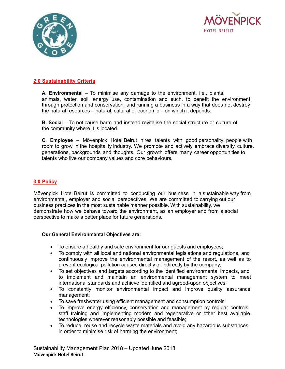![](_page_4_Picture_0.jpeg)

![](_page_4_Picture_1.jpeg)

# **2.0 Sustainability Criteria**

**A. Environmental** – To minimise any damage to the environment, i.e., plants, animals, water, soil, energy use, contamination and such, to benefit the environment through protection and conservation, and running a business in a way that does not destroy the natural resources – natural, cultural or economic – on which it depends.

**B. Social** – To not cause harm and instead revitalise the social structure or culture of the community where it is located.

**C. Employee** – Mövenpick Hotel Beirut hires talents with good personality; people with room to grow in the hospitality industry. We promote and actively embrace diversity, culture, generations, backgrounds and thoughts. Our growth offers many career opportunities to talents who live our company values and core behaviours.

# **3.0 Policy**

Mövenpick Hotel Beirut is committed to conducting our business in a sustainable way from environmental, employer and social perspectives. We are committed to carrying out our business practices in the most sustainable manner possible. With sustainability, we demonstrate how we behave toward the environment, as an employer and from a social perspective to make a better place for future generations.

#### **Our General Environmental Objectives are:**

- To ensure a healthy and safe environment for our guests and employees;
- To comply with all local and national environmental legislations and regulations, and continuously improve the environmental management of the resort, as well as to prevent ecological pollution caused directly or indirectly by the company;
- To set objectives and targets according to the identified environmental impacts, and to implement and maintain an environmental management system to meet international standards and achieve identified and agreed-upon objectives;
- To constantly monitor environmental impact and improve quality assurance management;
- To save freshwater using efficient management and consumption controls;
- To improve energy efficiency, conservation and management by regular controls, staff training and implementing modern and regenerative or other best available technologies wherever reasonably possible and feasible;
- To reduce, reuse and recycle waste materials and avoid any hazardous substances in order to minimise risk of harming the environment;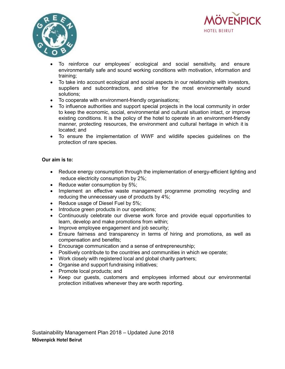![](_page_5_Picture_0.jpeg)

![](_page_5_Picture_1.jpeg)

- To reinforce our employees' ecological and social sensitivity, and ensure environmentally safe and sound working conditions with motivation, information and training;
- To take into account ecological and social aspects in our relationship with investors, suppliers and subcontractors, and strive for the most environmentally sound solutions;
- To cooperate with environment-friendly organisations;
- To influence authorities and support special projects in the local community in order to keep the economic, social, environmental and cultural situation intact, or improve existing conditions. It is the policy of the hotel to operate in an environment-friendly manner, protecting resources, the environment and cultural heritage in which it is located; and
- To ensure the implementation of WWF and wildlife species guidelines on the protection of rare species.

#### **Our aim is to:**

- Reduce energy consumption through the implementation of energy-efficient lighting and reduce electricity consumption by 2%;
- Reduce water consumption by 5%;
- Implement an effective waste management programme promoting recycling and reducing the unnecessary use of products by 4%;
- Reduce usage of Diesel Fuel by 5%;
- Introduce green products in our operations;
- Continuously celebrate our diverse work force and provide equal opportunities to learn, develop and make promotions from within;
- Improve employee engagement and job security;
- Ensure fairness and transparency in terms of hiring and promotions, as well as compensation and benefits;
- Encourage communication and a sense of entrepreneurship;
- Positively contribute to the countries and communities in which we operate;
- Work closely with registered local and global charity partners;
- Organise and support fundraising initiatives;
- Promote local products; and
- Keep our guests, customers and employees informed about our environmental protection initiatives whenever they are worth reporting.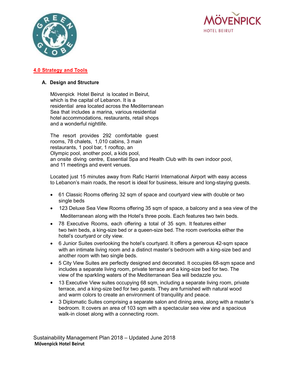![](_page_6_Picture_0.jpeg)

![](_page_6_Picture_1.jpeg)

# **4.0 Strategy and Tools**

# **A. Design and Structure**

Mövenpick Hotel Beirut is located in Beirut, which is the capital of Lebanon. It is a residential area located across the Mediterranean Sea that includes a marina, various residential hotel accommodations, restaurants, retail shops and a wonderful nightlife.

The resort provides 292 comfortable guest rooms, 78 chalets, 1,010 cabins, 3 main restaurants, 1 pool bar, 1 rooftop, an Olympic pool, another pool, a kids pool, an onsite diving centre, Essential Spa and Health Club with its own indoor pool, and 11 meetings and event venues.

Located just 15 minutes away from Rafic Harriri International Airport with easy access to Lebanon's main roads, the resort is ideal for business, leisure and long-staying guests.

- 61 Classic Rooms offering 32 sqm of space and courtyard view with double or two single beds
- 123 Deluxe Sea View Rooms offering 35 sqm of space, a balcony and a sea view of the Mediterranean along with the Hotel's three pools. Each features two twin beds.
- 78 Executive Rooms, each offering a total of 35 sqm. It features either two twin beds, a king-size bed or a queen-size bed. The room overlooks either the hotel's courtyard or city view.
- 6 Junior Suites overlooking the hotel's courtyard. It offers a generous 42-sqm space with an intimate living room and a distinct master's bedroom with a king-size bed and another room with two single beds.
- 5 City View Suites are perfectly designed and decorated. It occupies 68-sqm space and includes a separate living room, private terrace and a king-size bed for two. The view of the sparkling waters of the Mediterranean Sea will bedazzle you.
- 13 Executive View suites occupying 68 sqm, including a separate living room, private terrace, and a king-size bed for two guests. They are furnished with natural wood and warm colors to create an environment of tranquility and peace.
- 3 Diplomatic Suites comprising a separate salon and dining area, along with a master's bedroom. It covers an area of 103 sqm with a spectacular sea view and a spacious walk-in closet along with a connecting room.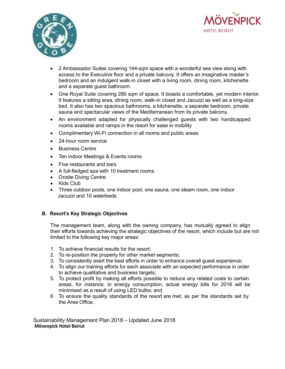![](_page_7_Picture_0.jpeg)

![](_page_7_Picture_1.jpeg)

- 2 Ambassador Suites covering 144-sqm space with a wonderful sea view along with access to the Executive floor and a private balcony. It offers an imaginative master's bedroom and an indulgent walk-in closet with a living room, dining room, kitchenette and a separate guest bathroom.
- One Royal Suite covering 280 sqm of space. It boasts a comfortable, yet modern interior. It features a sitting area, dining room, walk-in closet and Jacuzzi as well as a king-size bed. It also has two spacious bathrooms, a kitchenette, a separate bedroom, private sauna and spectacular views of the Mediterranean from its private balcony.
- An environment adapted for physically challenged guests with two handicapped rooms available and ramps in the resort for ease in mobility
- Complimentary Wi-Fi connection in all rooms and public areas
- 24-hour room service
- Business Centre
- Ten indoor Meetings & Events rooms
- Five restaurants and bars
- A full-fledged spa with 10 treatment rooms
- Onsite Diving Centre
- Kids Club
- Three outdoor pools, one indoor pool, one sauna, one steam room, one indoor Jacuzzi and 10 waterbeds

#### **B. Resort's Key Strategic Objectives**

The management team, along with the owning company, has mutually agreed to align their efforts towards achieving the strategic objectives of the resort, which include but are not limited to the following key major areas:

- 1. To achieve financial results for the resort;
- 2. To re-position the property for other market segments;
- 3. To consistently exert the best efforts in order to enhance overall guest experience;
- 4. To align our training efforts for each associate with an expected performance in order to achieve qualitative and business targets;
- 5. To protect profit by making all efforts possible to reduce any related costs to certain areas, for instance, in energy consumption, actual energy bills for 2016 will be minimised as a result of using LED bulbs; and
- 6. To ensure the quality standards of the resort are met, as per the standards set by the Area Office.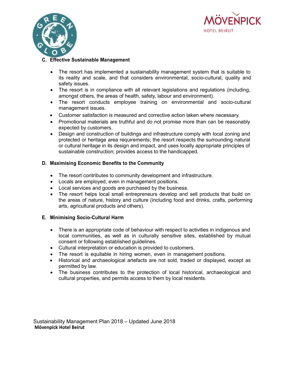![](_page_8_Picture_0.jpeg)

![](_page_8_Picture_1.jpeg)

# **C. Effective Sustainable Management**

- The resort has implemented a sustainability management system that is suitable to its reality and scale, and that considers environmental, socio-cultural, quality and safety issues.
- The resort is in compliance with all relevant legislations and regulations (including, amongst others, the areas of health, safety, labour and environment).
- The resort conducts employee training on environmental and socio-cultural management issues.
- Customer satisfaction is measured and corrective action taken where necessary.
- Promotional materials are truthful and do not promise more than can be reasonably expected by customers.
- Design and construction of buildings and infrastructure comply with local zoning and protected or heritage area requirements; the resort respects the surrounding natural or cultural heritage in its design and impact, and uses locally appropriate principles of sustainable construction; provides access to the handicapped.

#### **D. Maximising Economic Benefits to the Community**

- The resort contributes to community development and infrastructure.
- Locals are employed, even in management positions.
- Local services and goods are purchased by the business.
- The resort helps local small entrepreneurs develop and sell products that build on the areas of nature, history and culture (including food and drinks, crafts, performing arts, agricultural products and others).

#### **E. Minimising Socio-Cultural Harm**

- There is an appropriate code of behaviour with respect to activities in indigenous and local communities, as well as in culturally sensitive sites, established by mutual consent or following established guidelines.
- Cultural interpretation or education is provided to customers.
- The resort is equitable in hiring women, even in management positions.
- Historical and archaeological artefacts are not sold, traded or displayed, except as permitted by law.
- The business contributes to the protection of local historical, archaeological and cultural properties, and permits access to them by local residents.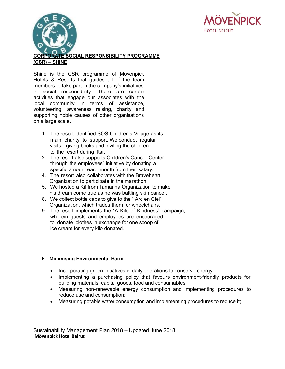![](_page_9_Picture_0.jpeg)

![](_page_9_Picture_1.jpeg)

# **CORPORATE SOCIAL RESPONSIBILITY PROGRAMME (CSR) – SHINE**

Shine is the CSR programme of Mövenpick Hotels & Resorts that guides all of the team members to take part in the company's initiatives in social responsibility. There are certain activities that engage our associates with the local community in terms of assistance, volunteering, awareness raising, charity and supporting noble causes of other organisations on a large scale.

- 1. The resort identified SOS Children's Village as its main charity to support. We conduct regular visits, giving books and inviting the children to the resort during iftar.
- 2. The resort also supports Children's Cancer Center through the employees' initiative by donating a specific amount each month from their salary.
- 4. The resort also collaborates with the Braveheart Organization to participate in the marathon.
- 5. We hosted a Kif from Tamanna Organization to make his dream come true as he was battling skin cancer.
- 8. We collect bottle caps to give to the " Arc en Ciel" Organization, which trades them for wheelchairs.
- 9. The resort implements the "A Kilo of Kindness" campaign, wherein guests and employees are encouraged to donate clothes in exchange for one scoop of ice cream for every kilo donated.

# **F. Minimising Environmental Harm**

- Incorporating green initiatives in daily operations to conserve energy;
- Implementing a purchasing policy that favours environment-friendly products for building materials, capital goods, food and consumables;
- Measuring non-renewable energy consumption and implementing procedures to reduce use and consumption;
- Measuring potable water consumption and implementing procedures to reduce it;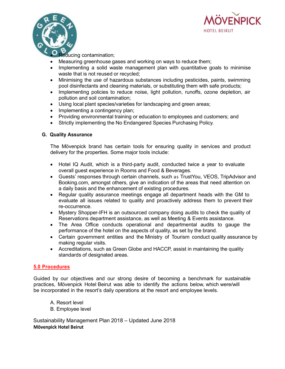![](_page_10_Picture_0.jpeg)

![](_page_10_Picture_1.jpeg)

educing contamination;

- Measuring greenhouse gases and working on ways to reduce them;
- Implementing a solid waste management plan with quantitative goals to minimise waste that is not reused or recycled;
- Minimising the use of hazardous substances including pesticides, paints, swimming pool disinfectants and cleaning materials, or substituting them with safe products;
- Implementing policies to reduce noise, light pollution, runoffs, ozone depletion, air pollution and soil contamination;
- Using local plant species/varieties for landscaping and green areas;
- Implementing a contingency plan;
- Providing environmental training or education to employees and customers; and
- Strictly implementing the No Endangered Species Purchasing Policy.

#### **G. Quality Assurance**

The Mövenpick brand has certain tools for ensuring quality in services and product delivery for the properties. Some major tools include:

- Hotel IQ Audit, which is a third-party audit, conducted twice a year to evaluate overall guest experience in Rooms and Food & Beverages.
- Guests' responses through certain channels, such as TrustYou, VEOS, TripAdvisor and Booking.com, amongst others, give an indication of the areas that need attention on a daily basis and the enhancement of existing procedures.
- Regular quality assurance meetings engage all department heads with the GM to evaluate all issues related to quality and proactively address them to prevent their re-occurrence.
- Mystery Shopper-IFH is an outsourced company doing audits to check the quality of Reservations department assistance, as well as Meeting & Events assistance.
- The Area Office conducts operational and departmental audits to gauge the performance of the hotel on the aspects of quality, as set by the brand.
- Certain government entities and the Ministry of Tourism conduct quality assurance by making regular visits.
- Accreditations, such as Green Globe and HACCP, assist in maintaining the quality standards of designated areas.

#### **5.0 Procedures**

Guided by our objectives and our strong desire of becoming a benchmark for sustainable practices, Mövenpick Hotel Beirut was able to identify the actions below, which were/will be incorporated in the resort's daily operations at the resort and employee levels.

- A. Resort level
- B. Employee level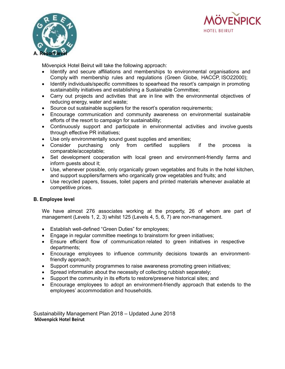![](_page_11_Picture_0.jpeg)

![](_page_11_Picture_1.jpeg)

Mövenpick Hotel Beirut will take the following approach:

- Identify and secure affiliations and memberships to environmental organisations and Comply with membership rules and regulations (Green Globe, HACCP, ISO22000);
- Identify individuals/specific committees to spearhead the resort's campaign in promoting sustainability initiatives and establishing a Sustainable Committee;
- Carry out projects and activities that are in line with the environmental objectives of reducing energy, water and waste;
- Source out sustainable suppliers for the resort's operation requirements;
- Encourage communication and community awareness on environmental sustainable efforts of the resort to campaign for sustainability;
- Continuously support and participate in environmental activities and involve guests through effective PR initiatives;
- Use only environmentally sound guest supplies and amenities;
- Consider purchasing only from certified suppliers if the process is comparable/acceptable;
- Set development cooperation with local green and environment-friendly farms and inform guests about it;
- Use, whenever possible, only organically grown vegetables and fruits in the hotel kitchen, and support suppliers/farmers who organically grow vegetables and fruits; and
- Use recycled papers, tissues, toilet papers and printed materials whenever available at competitive prices.

# **B. Employee level**

We have almost 276 associates working at the property, 26 of whom are part of management (Levels 1, 2, 3) whilst 125 (Levels 4, 5, 6, 7) are non-management.

- Establish well-defined "Green Duties" for employees;
- Engage in regular committee meetings to brainstorm for green initiatives;
- Ensure efficient flow of communication related to green initiatives in respective departments;
- Encourage employees to influence community decisions towards an environmentfriendly approach;
- Support community programmes to raise awareness promoting green initiatives;
- Spread information about the necessity of collecting rubbish separately;
- Support the community in its efforts to restore/preserve historical sites; and
- Encourage employees to adopt an environment-friendly approach that extends to the employees' accommodation and households.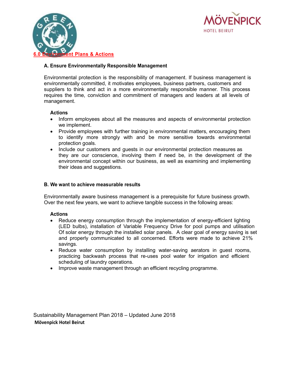![](_page_12_Picture_0.jpeg)

![](_page_12_Picture_1.jpeg)

#### **A. Ensure Environmentally Responsible Management**

Environmental protection is the responsibility of management. If business management is environmentally committed, it motivates employees, business partners, customers and suppliers to think and act in a more environmentally responsible manner. This process requires the time, conviction and commitment of managers and leaders at all levels of management.

#### **Actions**

- Inform employees about all the measures and aspects of environmental protection we implement.
- Provide employees with further training in environmental matters, encouraging them to identify more strongly with and be more sensitive towards environmental protection goals.
- Include our customers and guests in our environmental protection measures as they are our conscience, involving them if need be, in the development of the environmental concept within our business, as well as examining and implementing their ideas and suggestions.

#### **B. We want to achieve measurable results**

Environmentally aware business management is a prerequisite for future business growth. Over the next few years, we want to achieve tangible success in the following areas:

#### **Actions**

- Reduce energy consumption through the implementation of energy-efficient lighting (LED bulbs), installation of Variable Frequency Drive for pool pumps and utilisation Of solar energy through the installed solar panels. A clear goal of energy saving is set and properly communicated to all concerned. Efforts were made to achieve 21% savings.
- Reduce water consumption by installing water-saving aerators in guest rooms, practicing backwash process that re-uses pool water for irrigation and efficient scheduling of laundry operations.
- Improve waste management through an efficient recycling programme.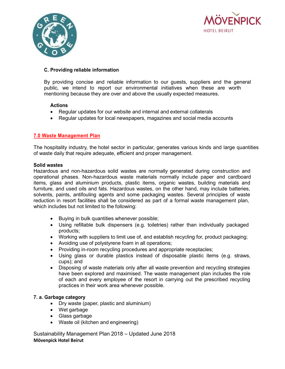![](_page_13_Picture_0.jpeg)

![](_page_13_Picture_1.jpeg)

#### **C. Providing reliable information**

By providing concise and reliable information to our guests, suppliers and the general public, we intend to report our environmental initiatives when these are worth mentioning because they are over and above the usually expected measures.

#### **Actions**

- Regular updates for our website and internal and external collaterals
- Regular updates for local newspapers, magazines and social media accounts

# **7.0 Waste Management Plan**

The hospitality industry, the hotel sector in particular, generates various kinds and large quantities of waste daily that require adequate, efficient and proper management.

#### **Solid wastes**

Hazardous and non-hazardous solid wastes are normally generated during construction and operational phases. Non-hazardous waste materials normally include paper and cardboard items, glass and aluminium products, plastic items, organic wastes, building materials and furniture, and used oils and fats. Hazardous wastes, on the other hand, may include batteries, solvents, paints, antifouling agents and some packaging wastes. Several principles of waste reduction in resort facilities shall be considered as part of a formal waste management plan, which includes but not limited to the following:

- Buying in bulk quantities whenever possible;
- Using refillable bulk dispensers (e.g. toiletries) rather than individually packaged products;
- Working with suppliers to limit use of, and establish recycling for, product packaging;
- Avoiding use of polystyrene foam in all operations;
- Providing in-room recycling procedures and appropriate receptacles;
- Using glass or durable plastics instead of disposable plastic items (e.g. straws, cups); and
- Disposing of waste materials only after all waste prevention and recycling strategies have been explored and maximised. The waste management plan includes the role of each and every employee of the resort in carrying out the prescribed recycling practices in their work area whenever possible.

#### **7. a. Garbage category**

- Dry waste (paper, plastic and aluminium)
- Wet garbage
- Glass garbage
- Waste oil (kitchen and engineering)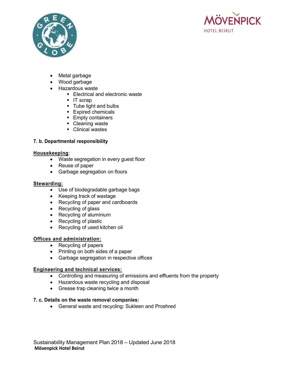![](_page_14_Picture_0.jpeg)

![](_page_14_Picture_1.jpeg)

- Metal garbage
- Wood garbage
- Hazardous waste
	- Electrical and electronic waste
	- IT scrap
	- Tube light and bulbs
	- Expired chemicals
	- **Empty containers**
	- Cleaning waste
	- Clinical wastes

# **7. b. Departmental responsibility**

# **Housekeeping**:

- Waste segregation in every guest floor
- Reuse of paper
- Garbage segregation on floors

# **Stewarding:**

- Use of biodegradable garbage bags
- Keeping track of wastage
- Recycling of paper and cardboards
- Recycling of glass
- Recycling of aluminium
- Recycling of plastic
- Recycling of used kitchen oil

# **Offices and administration:**

- Recycling of papers
- Printing on both sides of a paper
- Garbage segregation in respective offices

# **Engineering and technical services:**

- Controlling and measuring of emissions and effluents from the property
- Hazardous waste recycling and disposal
- Grease trap cleaning twice a month

# **7. c. Details on the waste removal companies:**

• General waste and recycling: Sukleen and Proshred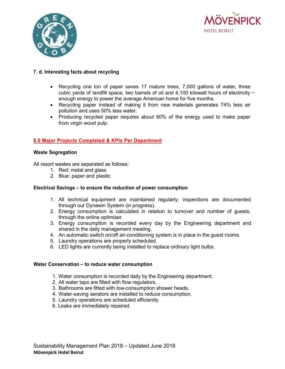![](_page_15_Picture_0.jpeg)

![](_page_15_Picture_1.jpeg)

# **7. d. Interesting facts about recycling**

- Recycling one ton of paper saves 17 mature trees, 7,000 gallons of water, three cubic yards of landfill space, two barrels of oil and 4,100 kilowatt hours of electricity − enough energy to power the average American home for five months.
- Recycling paper instead of making it from new materials generates 74% less air pollution and uses 50% less water.
- Producing recycled paper requires about 60% of the energy used to make paper from virgin wood pulp.

# **8.0 Major Projects Completed & KPIs Per Department**

#### **Waste Segregation**

All resort wastes are separated as follows:

- 1. Red: metal and glass
- 2. Blue: paper and plastic

#### **Electrical Savings – to ensure the reduction of power consumption**

- 1. All technical equipment are maintained regularly; inspections are documented through our Dynawin System (in progress).
- 2. Energy consumption is calculated in relation to turnover and number of guests, through the online optimiser.
- 3. Energy consumption is recorded every day by the Engineering department and shared in the daily management meeting.
- 4. An automatic switch on/off air-conditioning system is in place in the guest rooms.
- 5. Laundry operations are properly scheduled.
- 6. LED lights are currently being installed to replace ordinary light bulbs.

#### **Water Conservation – to reduce water consumption**

- 1. Water consumption is recorded daily by the Engineering department.
- 2. All water taps are fitted with flow regulators.
- 3. Bathrooms are fitted with low-consumption shower heads.
- 4. Water-saving aerators are installed to reduce consumption.
- 5. Laundry operations are scheduled efficiently.
- 6. Leaks are immediately repaired.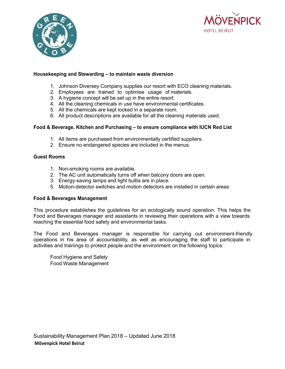![](_page_16_Picture_0.jpeg)

![](_page_16_Picture_1.jpeg)

#### **Housekeeping and Stewarding – to maintain waste diversion**

- 1. Johnson Diversey Company supplies our resort with ECO cleaning materials.
- 2. Employees are trained to optimise usage of materials.
- 3. A hygiene concept will be set up in the entire resort.
- 4. All the cleaning chemicals in use have environmental certificates.
- 5. All the chemicals are kept locked in a separate room.
- 6. All product descriptions are available for all the cleaning materials used.

#### **Food & Beverage, Kitchen and Purchasing – to ensure compliance with IUCN Red List**

- 1. All items are purchased from environmentally certified suppliers.
- 2. Ensure no endangered species are included in the menus.

#### **Guest Rooms**

- 1. Non-smoking rooms are available.
- 2. The AC unit automatically turns off when balcony doors are open.
- 3. Energy-saving lamps and light bulbs are in place.
- 5. Motion-detector switches and motion detectors are installed in certain areas

#### **Food & Beverages Management**

This procedure establishes the guidelines for an ecologically sound operation. This helps the Food and Beverages manager and assistants in reviewing their operations with a view towards reaching the essential food safety and environmental tasks.

The Food and Beverages manager is responsible for carrying out environment-friendly operations in his area of accountability, as well as encouraging the staff to participate in activities and trainings to protect people and the environment on the following topics:

Food Hygiene and Safety Food Waste Management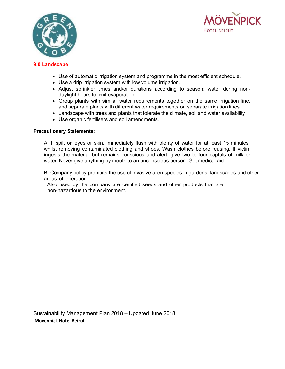![](_page_17_Picture_0.jpeg)

![](_page_17_Picture_1.jpeg)

#### **9.0 Landscape**

- Use of automatic irrigation system and programme in the most efficient schedule.
- Use a drip irrigation system with low volume irrigation.
- Adjust sprinkler times and/or durations according to season; water during nondaylight hours to limit evaporation.
- Group plants with similar water requirements together on the same irrigation line, and separate plants with different water requirements on separate irrigation lines.
- Landscape with trees and plants that tolerate the climate, soil and water availability.
- Use organic fertilisers and soil amendments.

#### **Precautionary Statements:**

A. If spilt on eyes or skin, immediately flush with plenty of water for at least 15 minutes whilst removing contaminated clothing and shoes. Wash clothes before reusing. If victim ingests the material but remains conscious and alert, give two to four capfuls of milk or water. Never give anything by mouth to an unconscious person. Get medical aid.

B. Company policy prohibits the use of invasive alien species in gardens, landscapes and other areas of operation.

 Also used by the company are certified seeds and other products that are non-hazardous to the environment.